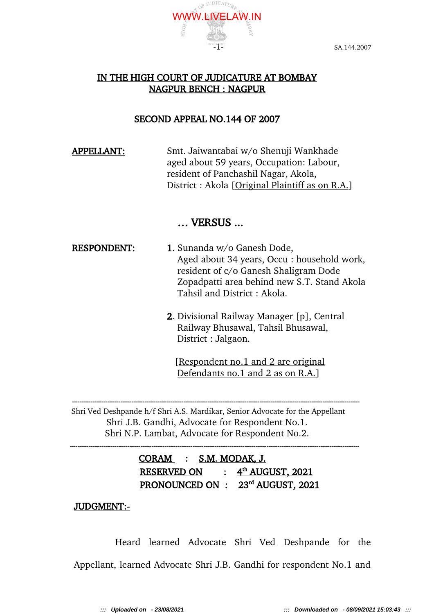

# IN THE HIGH COURT OF JUDICATURE AT BOMBAY NAGPUR BENCH : NAGPUR

# SECOND APPEAL NO.144 OF 2007

 APPELLANT: Smt. Jaiwantabai w/o Shenuji Wankhade aged about 59 years, Occupation: Labour, resident of Panchashil Nagar, Akola, District : Akola [Original Plaintiff as on R.A.]

# … VERSUS ...

- RESPONDENT: 1. Sunanda w/o Ganesh Dode, Aged about 34 years, Occu : household work, resident of c/o Ganesh Shaligram Dode Zopadpatti area behind new S.T. Stand Akola Tahsil and District : Akola.
	- 2. Divisional Railway Manager [p], Central Railway Bhusawal, Tahsil Bhusawal, District : Jalgaon.

[Respondent no.1 and 2 are original Defendants no.1 and 2 as on R.A.]

Shri Ved Deshpande h/f Shri A.S. Mardikar, Senior Advocate for the Appellant Shri J.B. Gandhi, Advocate for Respondent No.1. Shri N.P. Lambat, Advocate for Respondent No.2.

------------------------------------------------------------------------------------------------------------------------------------------------------------

-----------------------------------------------------------------------------------------------------------------------------------------------------------

 CORAM : S.M. MODAK, J. RESERVED ON : **th AUGUST, 2021** PRONOUNCED ON : 23<sup>rd</sup> AUGUST, 2021

## JUDGMENT:-

Heard learned Advocate Shri Ved Deshpande for the Appellant, learned Advocate Shri J.B. Gandhi for respondent No.1 and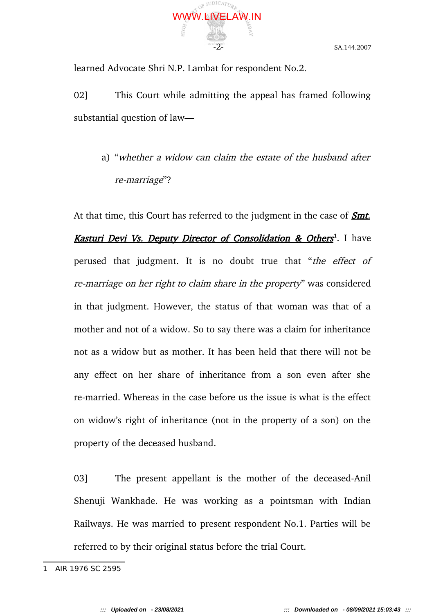

learned Advocate Shri N.P. Lambat for respondent No.2.

02] This Court while admitting the appeal has framed following substantial question of law—

a) "whether a widow can claim the estate of the husband after re-marriage"?

At that time, this Court has referred to the judgment in the case of **Smt.** Kasturi Devi Vs. Deputy Director of Consolidation & Others<sup>1</sup>. I have perused that judgment. It is no doubt true that "the effect of re-marriage on her right to claim share in the property" was considered in that judgment. However, the status of that woman was that of a mother and not of a widow. So to say there was a claim for inheritance not as a widow but as mother. It has been held that there will not be any effect on her share of inheritance from a son even after she re-married. Whereas in the case before us the issue is what is the effect on widow's right of inheritance (not in the property of a son) on the property of the deceased husband.

03] The present appellant is the mother of the deceased-Anil Shenuji Wankhade. He was working as a pointsman with Indian Railways. He was married to present respondent No.1. Parties will be referred to by their original status before the trial Court.

<sup>1</sup> AIR 1976 SC 2595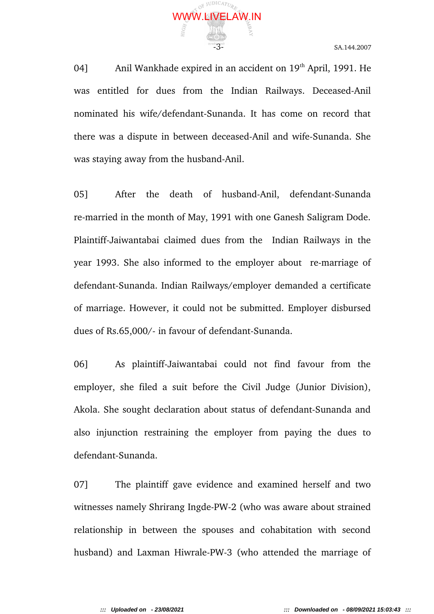

04] Anil Wankhade expired in an accident on 19<sup>th</sup> April, 1991. He was entitled for dues from the Indian Railways. Deceased-Anil nominated his wife/defendant-Sunanda. It has come on record that there was a dispute in between deceased-Anil and wife-Sunanda. She was staying away from the husband-Anil.

05] After the death of husband-Anil, defendant-Sunanda re-married in the month of May, 1991 with one Ganesh Saligram Dode. Plaintiff-Jaiwantabai claimed dues from the Indian Railways in the year 1993. She also informed to the employer about re-marriage of defendant-Sunanda. Indian Railways/employer demanded a certificate of marriage. However, it could not be submitted. Employer disbursed dues of Rs.65,000/- in favour of defendant-Sunanda.

06] As plaintiff-Jaiwantabai could not find favour from the employer, she filed a suit before the Civil Judge (Junior Division), Akola. She sought declaration about status of defendant-Sunanda and also injunction restraining the employer from paying the dues to defendant-Sunanda.

07] The plaintiff gave evidence and examined herself and two witnesses namely Shrirang Ingde-PW-2 (who was aware about strained relationship in between the spouses and cohabitation with second husband) and Laxman Hiwrale-PW-3 (who attended the marriage of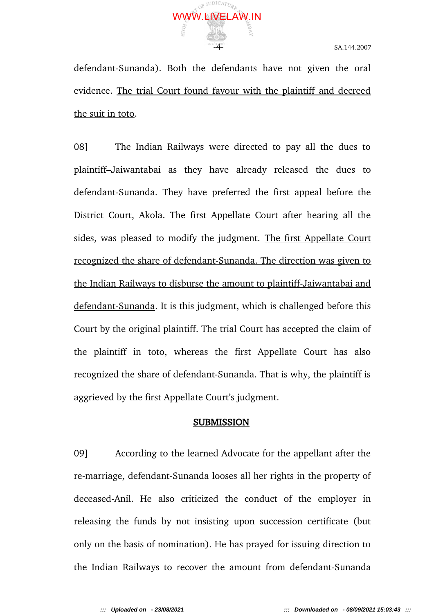

defendant-Sunanda). Both the defendants have not given the oral evidence. The trial Court found favour with the plaintiff and decreed the suit in toto.

08] The Indian Railways were directed to pay all the dues to plaintiff–Jaiwantabai as they have already released the dues to defendant-Sunanda. They have preferred the first appeal before the District Court, Akola. The first Appellate Court after hearing all the sides, was pleased to modify the judgment. The first Appellate Court recognized the share of defendant-Sunanda. The direction was given to the Indian Railways to disburse the amount to plaintiff-Jaiwantabai and defendant-Sunanda. It is this judgment, which is challenged before this Court by the original plaintiff. The trial Court has accepted the claim of the plaintiff in toto, whereas the first Appellate Court has also recognized the share of defendant-Sunanda. That is why, the plaintiff is aggrieved by the first Appellate Court's judgment.

## SUBMISSION

09] According to the learned Advocate for the appellant after the re-marriage, defendant-Sunanda looses all her rights in the property of deceased-Anil. He also criticized the conduct of the employer in releasing the funds by not insisting upon succession certificate (but only on the basis of nomination). He has prayed for issuing direction to the Indian Railways to recover the amount from defendant-Sunanda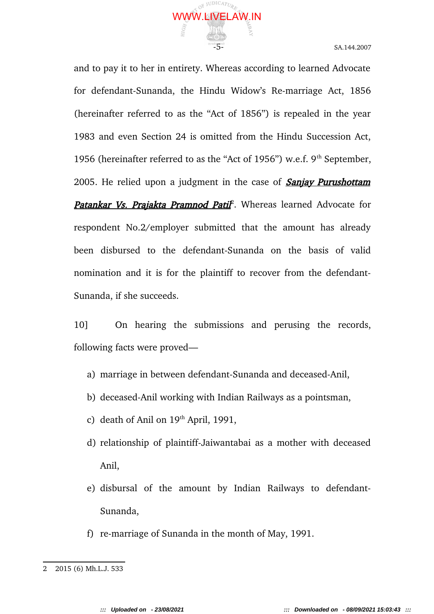

and to pay it to her in entirety. Whereas according to learned Advocate for defendant-Sunanda, the Hindu Widow's Re-marriage Act, 1856 (hereinafter referred to as the "Act of 1856") is repealed in the year 1983 and even Section 24 is omitted from the Hindu Succession Act, 1956 (hereinafter referred to as the "Act of 1956") w.e.f.  $9<sup>th</sup>$  September, 2005. He relied upon a judgment in the case of **Sanjay Purushottam** Patankar Vs. Prajakta Pramnod Patil<sup>2</sup>. Whereas learned Advocate for respondent No.2/employer submitted that the amount has already been disbursed to the defendant-Sunanda on the basis of valid nomination and it is for the plaintiff to recover from the defendant-Sunanda, if she succeeds.

10] On hearing the submissions and perusing the records, following facts were proved—

- a) marriage in between defendant-Sunanda and deceased-Anil,
- b) deceased-Anil working with Indian Railways as a pointsman,
- c) death of Anil on  $19<sup>th</sup>$  April, 1991,
- d) relationship of plaintiff-Jaiwantabai as a mother with deceased Anil,
- e) disbursal of the amount by Indian Railways to defendant-Sunanda,
- f) re-marriage of Sunanda in the month of May, 1991.

<sup>2</sup> 2015 (6) Mh.L.J. 533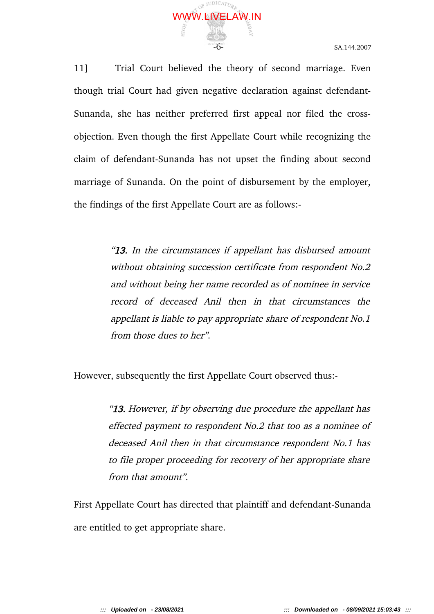

11] Trial Court believed the theory of second marriage. Even though trial Court had given negative declaration against defendant-Sunanda, she has neither preferred first appeal nor filed the crossobjection. Even though the first Appellate Court while recognizing the claim of defendant-Sunanda has not upset the finding about second marriage of Sunanda. On the point of disbursement by the employer, the findings of the first Appellate Court are as follows:-

> "13. In the circumstances if appellant has disbursed amount without obtaining succession certificate from respondent No.2 and without being her name recorded as of nominee in service record of deceased Anil then in that circumstances the appellant is liable to pay appropriate share of respondent No.1 from those dues to her".

However, subsequently the first Appellate Court observed thus:-

"**13.** However, if by observing due procedure the appellant has effected payment to respondent No.2 that too as a nominee of deceased Anil then in that circumstance respondent No.1 has to file proper proceeding for recovery of her appropriate share from that amount".

First Appellate Court has directed that plaintiff and defendant-Sunanda are entitled to get appropriate share.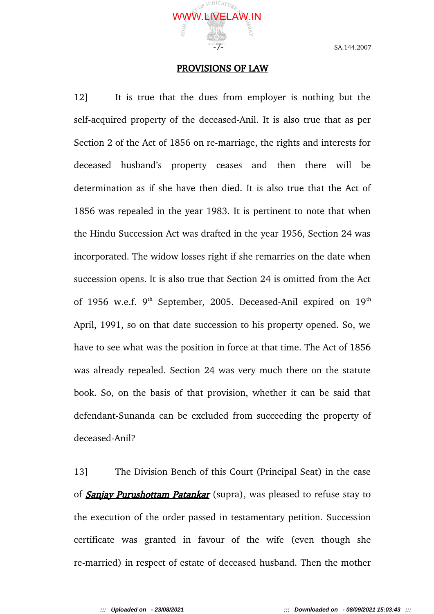

#### PROVISIONS OF LAW

12] It is true that the dues from employer is nothing but the self-acquired property of the deceased-Anil. It is also true that as per Section 2 of the Act of 1856 on re-marriage, the rights and interests for deceased husband's property ceases and then there will be determination as if she have then died. It is also true that the Act of 1856 was repealed in the year 1983. It is pertinent to note that when the Hindu Succession Act was drafted in the year 1956, Section 24 was incorporated. The widow losses right if she remarries on the date when succession opens. It is also true that Section 24 is omitted from the Act of 1956 w.e.f. 9<sup>th</sup> September, 2005. Deceased-Anil expired on 19<sup>th</sup> April, 1991, so on that date succession to his property opened. So, we have to see what was the position in force at that time. The Act of 1856 was already repealed. Section 24 was very much there on the statute book. So, on the basis of that provision, whether it can be said that defendant-Sunanda can be excluded from succeeding the property of deceased-Anil?

13] The Division Bench of this Court (Principal Seat) in the case of **Sanjay Purushottam Patankar** (supra), was pleased to refuse stay to the execution of the order passed in testamentary petition. Succession certificate was granted in favour of the wife (even though she re-married) in respect of estate of deceased husband. Then the mother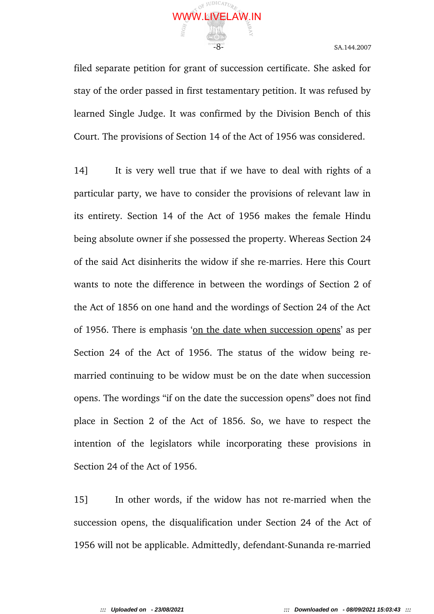

filed separate petition for grant of succession certificate. She asked for stay of the order passed in first testamentary petition. It was refused by learned Single Judge. It was confirmed by the Division Bench of this Court. The provisions of Section 14 of the Act of 1956 was considered.

14] It is very well true that if we have to deal with rights of a particular party, we have to consider the provisions of relevant law in its entirety. Section 14 of the Act of 1956 makes the female Hindu being absolute owner if she possessed the property. Whereas Section 24 of the said Act disinherits the widow if she re-marries. Here this Court wants to note the difference in between the wordings of Section 2 of the Act of 1856 on one hand and the wordings of Section 24 of the Act of 1956. There is emphasis 'on the date when succession opens' as per Section 24 of the Act of 1956. The status of the widow being remarried continuing to be widow must be on the date when succession opens. The wordings "if on the date the succession opens" does not find place in Section 2 of the Act of 1856. So, we have to respect the intention of the legislators while incorporating these provisions in Section 24 of the Act of 1956.

15] In other words, if the widow has not re-married when the succession opens, the disqualification under Section 24 of the Act of 1956 will not be applicable. Admittedly, defendant-Sunanda re-married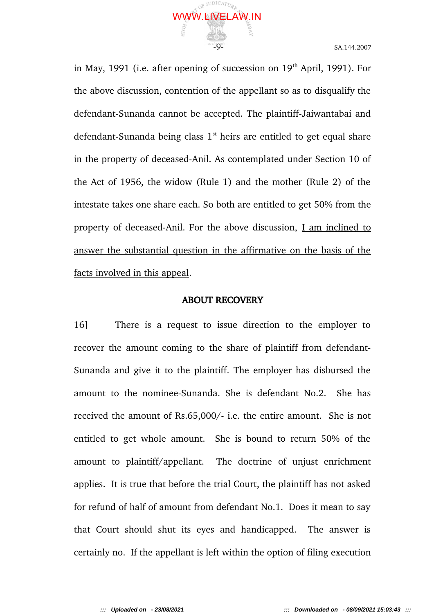

in May, 1991 (i.e. after opening of succession on  $19<sup>th</sup>$  April, 1991). For the above discussion, contention of the appellant so as to disqualify the defendant-Sunanda cannot be accepted. The plaintiff-Jaiwantabai and defendant-Sunanda being class  $1<sup>st</sup>$  heirs are entitled to get equal share in the property of deceased-Anil. As contemplated under Section 10 of the Act of 1956, the widow (Rule 1) and the mother (Rule 2) of the intestate takes one share each. So both are entitled to get 50% from the property of deceased-Anil. For the above discussion, I am inclined to answer the substantial question in the affirmative on the basis of the facts involved in this appeal.

#### ABOUT RECOVERY

16] There is a request to issue direction to the employer to recover the amount coming to the share of plaintiff from defendant-Sunanda and give it to the plaintiff. The employer has disbursed the amount to the nominee-Sunanda. She is defendant No.2. She has received the amount of Rs.65,000/- i.e. the entire amount. She is not entitled to get whole amount. She is bound to return 50% of the amount to plaintiff/appellant. The doctrine of unjust enrichment applies. It is true that before the trial Court, the plaintiff has not asked for refund of half of amount from defendant No.1. Does it mean to say that Court should shut its eyes and handicapped. The answer is certainly no. If the appellant is left within the option of filing execution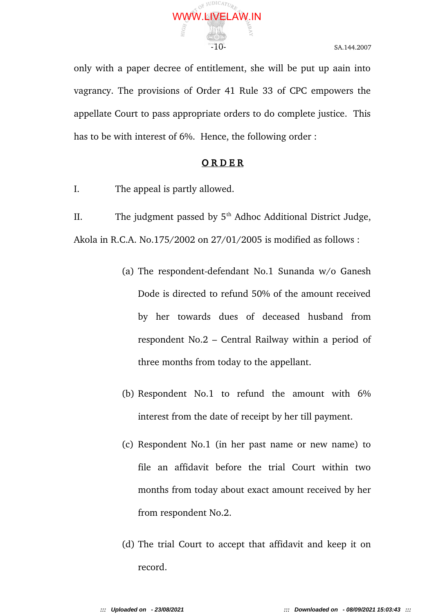

only with a paper decree of entitlement, she will be put up aain into vagrancy. The provisions of Order 41 Rule 33 of CPC empowers the appellate Court to pass appropriate orders to do complete justice. This has to be with interest of 6%. Hence, the following order :

# **ORDER**

I. The appeal is partly allowed.

II. The judgment passed by  $5<sup>th</sup>$  Adhoc Additional District Judge, Akola in R.C.A. No.175/2002 on 27/01/2005 is modified as follows :

- (a) The respondent-defendant No.1 Sunanda w/o Ganesh Dode is directed to refund 50% of the amount received by her towards dues of deceased husband from respondent No.2 – Central Railway within a period of three months from today to the appellant.
- (b) Respondent No.1 to refund the amount with 6% interest from the date of receipt by her till payment.
- (c) Respondent No.1 (in her past name or new name) to file an affidavit before the trial Court within two months from today about exact amount received by her from respondent No.2.
- (d) The trial Court to accept that affidavit and keep it on record.